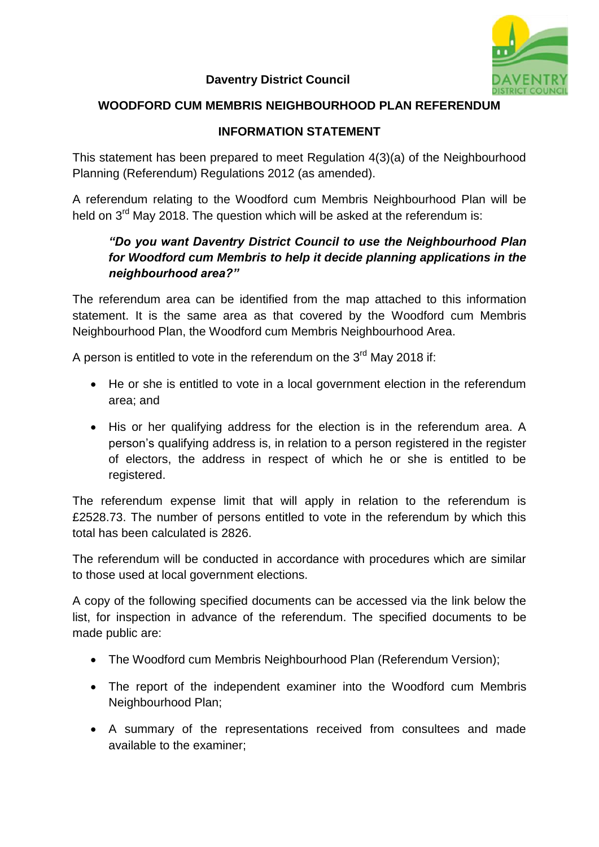

#### **Daventry District Council**

## **WOODFORD CUM MEMBRIS NEIGHBOURHOOD PLAN REFERENDUM**

### **INFORMATION STATEMENT**

This statement has been prepared to meet Regulation 4(3)(a) of the Neighbourhood Planning (Referendum) Regulations 2012 (as amended).

A referendum relating to the Woodford cum Membris Neighbourhood Plan will be held on 3<sup>rd</sup> May 2018. The question which will be asked at the referendum is:

# *"Do you want Daventry District Council to use the Neighbourhood Plan for Woodford cum Membris to help it decide planning applications in the neighbourhood area?"*

The referendum area can be identified from the map attached to this information statement. It is the same area as that covered by the Woodford cum Membris Neighbourhood Plan, the Woodford cum Membris Neighbourhood Area.

A person is entitled to vote in the referendum on the  $3^{\text{rd}}$  May 2018 if:

- He or she is entitled to vote in a local government election in the referendum area; and
- His or her qualifying address for the election is in the referendum area. A person's qualifying address is, in relation to a person registered in the register of electors, the address in respect of which he or she is entitled to be registered.

The referendum expense limit that will apply in relation to the referendum is £2528.73. The number of persons entitled to vote in the referendum by which this total has been calculated is 2826.

The referendum will be conducted in accordance with procedures which are similar to those used at local government elections.

A copy of the following specified documents can be accessed via the link below the list, for inspection in advance of the referendum. The specified documents to be made public are:

- The Woodford cum Membris Neighbourhood Plan (Referendum Version);
- The report of the independent examiner into the Woodford cum Membris Neighbourhood Plan;
- A summary of the representations received from consultees and made available to the examiner;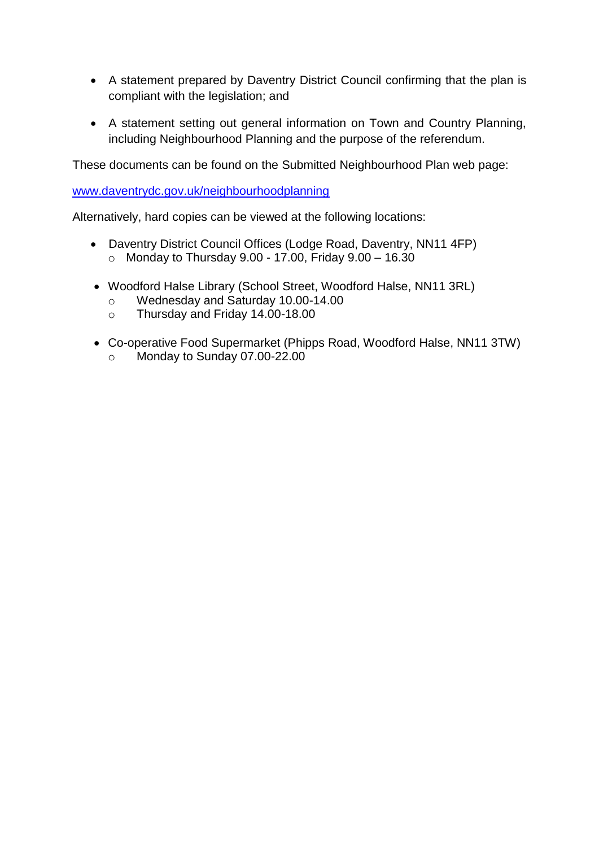- A statement prepared by Daventry District Council confirming that the plan is compliant with the legislation; and
- A statement setting out general information on Town and Country Planning, including Neighbourhood Planning and the purpose of the referendum.

These documents can be found on the Submitted Neighbourhood Plan web page:

[www.daventrydc.gov.uk/neighbourhoodplanning](http://www.daventrydc.gov.uk/neighbourhoodplanning)

Alternatively, hard copies can be viewed at the following locations:

- Daventry District Council Offices (Lodge Road, Daventry, NN11 4FP)  $\circ$  Monday to Thursday 9.00 - 17.00, Friday 9.00 - 16.30
- Woodford Halse Library (School Street, Woodford Halse, NN11 3RL)
	- o Wednesday and Saturday 10.00-14.00
	- o Thursday and Friday 14.00-18.00
- Co-operative Food Supermarket (Phipps Road, Woodford Halse, NN11 3TW)
	- o Monday to Sunday 07.00-22.00